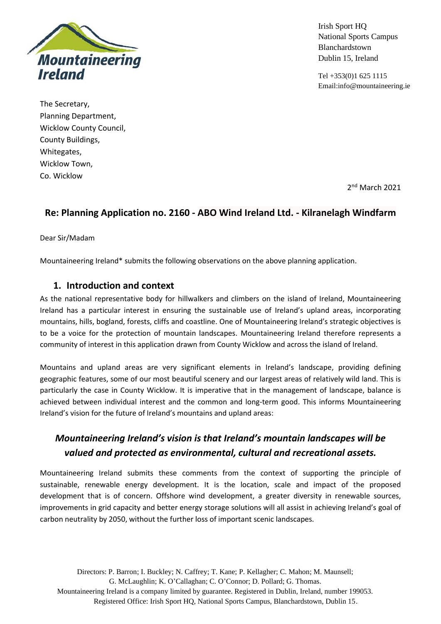

Irish Sport HQ National Sports Campus Blanchardstown Dublin 15, Ireland

Tel +353(0)1 625 1115 Email:info@mountaineering.ie

The Secretary, Planning Department, Wicklow County Council, County Buildings, Whitegates, Wicklow Town, Co. Wicklow

2<sup>nd</sup> March 2021

## **Re: Planning Application no. 2160 - ABO Wind Ireland Ltd. - Kilranelagh Windfarm**

Dear Sir/Madam

Mountaineering Ireland\* submits the following observations on the above planning application.

## **1. Introduction and context**

As the national representative body for hillwalkers and climbers on the island of Ireland, Mountaineering Ireland has a particular interest in ensuring the sustainable use of Ireland's upland areas, incorporating mountains, hills, bogland, forests, cliffs and coastline. One of Mountaineering Ireland's strategic objectives is to be a voice for the protection of mountain landscapes. Mountaineering Ireland therefore represents a community of interest in this application drawn from County Wicklow and across the island of Ireland.

Mountains and upland areas are very significant elements in Ireland's landscape, providing defining geographic features, some of our most beautiful scenery and our largest areas of relatively wild land. This is particularly the case in County Wicklow. It is imperative that in the management of landscape, balance is achieved between individual interest and the common and long-term good. This informs Mountaineering Ireland's vision for the future of Ireland's mountains and upland areas:

# *Mountaineering Ireland's vision is that Ireland's mountain landscapes will be valued and protected as environmental, cultural and recreational assets.*

Mountaineering Ireland submits these comments from the context of supporting the principle of sustainable, renewable energy development. It is the location, scale and impact of the proposed development that is of concern. Offshore wind development, a greater diversity in renewable sources, improvements in grid capacity and better energy storage solutions will all assist in achieving Ireland's goal of carbon neutrality by 2050, without the further loss of important scenic landscapes.

Directors: P. Barron; I. Buckley; N. Caffrey; T. Kane; P. Kellagher; C. Mahon; M. Maunsell; G. McLaughlin; K. O'Callaghan; C. O'Connor; D. Pollard; G. Thomas. Mountaineering Ireland is a company limited by guarantee. Registered in Dublin, Ireland, number 199053. Registered Office: Irish Sport HQ, National Sports Campus, Blanchardstown, Dublin 15.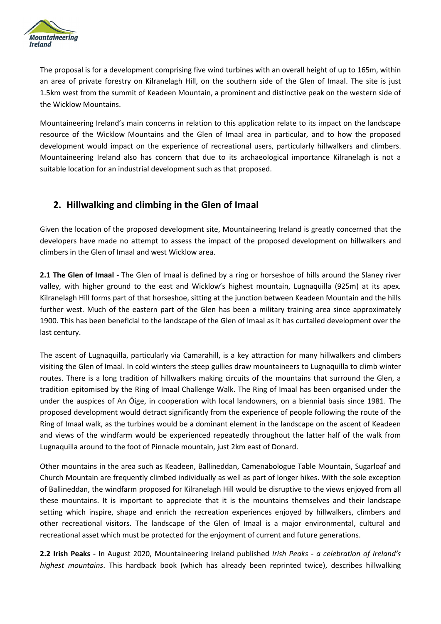

The proposal is for a development comprising five wind turbines with an overall height of up to 165m, within an area of private forestry on Kilranelagh Hill, on the southern side of the Glen of Imaal. The site is just 1.5km west from the summit of Keadeen Mountain, a prominent and distinctive peak on the western side of the Wicklow Mountains.

Mountaineering Ireland's main concerns in relation to this application relate to its impact on the landscape resource of the Wicklow Mountains and the Glen of Imaal area in particular, and to how the proposed development would impact on the experience of recreational users, particularly hillwalkers and climbers. Mountaineering Ireland also has concern that due to its archaeological importance Kilranelagh is not a suitable location for an industrial development such as that proposed.

## **2. Hillwalking and climbing in the Glen of Imaal**

Given the location of the proposed development site, Mountaineering Ireland is greatly concerned that the developers have made no attempt to assess the impact of the proposed development on hillwalkers and climbers in the Glen of Imaal and west Wicklow area.

**2.1 The Glen of Imaal -** The Glen of Imaal is defined by a ring or horseshoe of hills around the Slaney river valley, with higher ground to the east and Wicklow's highest mountain, Lugnaquilla (925m) at its apex. Kilranelagh Hill forms part of that horseshoe, sitting at the junction between Keadeen Mountain and the hills further west. Much of the eastern part of the Glen has been a military training area since approximately 1900. This has been beneficial to the landscape of the Glen of Imaal as it has curtailed development over the last century.

The ascent of Lugnaquilla, particularly via Camarahill, is a key attraction for many hillwalkers and climbers visiting the Glen of Imaal. In cold winters the steep gullies draw mountaineers to Lugnaquilla to climb winter routes. There is a long tradition of hillwalkers making circuits of the mountains that surround the Glen, a tradition epitomised by the Ring of Imaal Challenge Walk. The Ring of Imaal has been organised under the under the auspices of An Óige, in cooperation with local landowners, on a biennial basis since 1981. The proposed development would detract significantly from the experience of people following the route of the Ring of Imaal walk, as the turbines would be a dominant element in the landscape on the ascent of Keadeen and views of the windfarm would be experienced repeatedly throughout the latter half of the walk from Lugnaquilla around to the foot of Pinnacle mountain, just 2km east of Donard.

Other mountains in the area such as Keadeen, Ballineddan, Camenabologue Table Mountain, Sugarloaf and Church Mountain are frequently climbed individually as well as part of longer hikes. With the sole exception of Ballineddan, the windfarm proposed for Kilranelagh Hill would be disruptive to the views enjoyed from all these mountains. It is important to appreciate that it is the mountains themselves and their landscape setting which inspire, shape and enrich the recreation experiences enjoyed by hillwalkers, climbers and other recreational visitors. The landscape of the Glen of Imaal is a major environmental, cultural and recreational asset which must be protected for the enjoyment of current and future generations.

**2.2 Irish Peaks -** In August 2020, Mountaineering Ireland published *Irish Peaks* - *a celebration of Ireland's highest mountains*. This hardback book (which has already been reprinted twice), describes hillwalking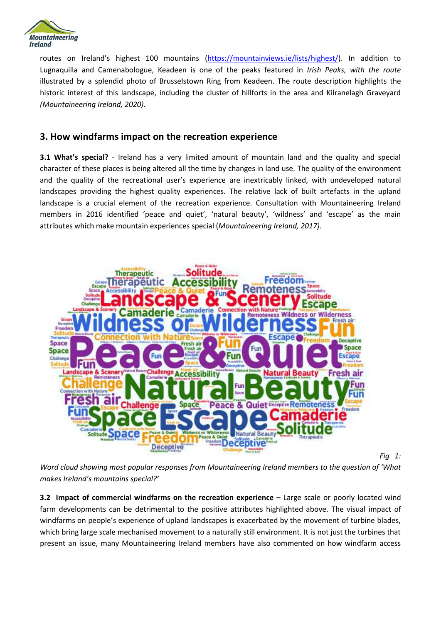

routes on Ireland's highest 100 mountains [\(https://mountainviews.ie/lists/highest/\)](https://mountainviews.ie/lists/highest/). In addition to Lugnaquilla and Camenabologue, Keadeen is one of the peaks featured in *Irish Peaks, with the route*  illustrated by a splendid photo of Brusselstown Ring from Keadeen. The route description highlights the historic interest of this landscape, including the cluster of hillforts in the area and Kilranelagh Graveyard *(Mountaineering Ireland, 2020).*

### **3. How windfarms impact on the recreation experience**

**3.1 What's special?** - Ireland has a very limited amount of mountain land and the quality and special character of these places is being altered all the time by changes in land use. The quality of the environment and the quality of the recreational user's experience are inextricably linked, with undeveloped natural landscapes providing the highest quality experiences. The relative lack of built artefacts in the upland landscape is a crucial element of the recreation experience. Consultation with Mountaineering Ireland members in 2016 identified 'peace and quiet', 'natural beauty', 'wildness' and 'escape' as the main attributes which make mountain experiences special (*Mountaineering Ireland, 2017).*



*Fig 1:* 

*Word cloud showing most popular responses from Mountaineering Ireland members to the question of 'What makes Ireland's mountains special?'*

**3.2 Impact of commercial windfarms on the recreation experience –** Large scale or poorly located wind farm developments can be detrimental to the positive attributes highlighted above. The visual impact of windfarms on people's experience of upland landscapes is exacerbated by the movement of turbine blades, which bring large scale mechanised movement to a naturally still environment. It is not just the turbines that present an issue, many Mountaineering Ireland members have also commented on how windfarm access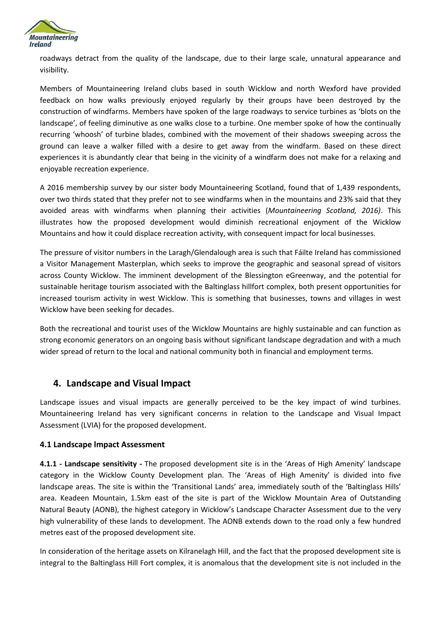

roadways detract from the quality of the landscape, due to their large scale, unnatural appearance and visibility.

Members of Mountaineering Ireland clubs based in south Wicklow and north Wexford have provided feedback on how walks previously enjoyed regularly by their groups have been destroyed by the construction of windfarms. Members have spoken of the large roadways to service turbines as 'blots on the landscape', of feeling diminutive as one walks close to a turbine. One member spoke of how the continually recurring 'whoosh' of turbine blades, combined with the movement of their shadows sweeping across the ground can leave a walker filled with a desire to get away from the windfarm. Based on these direct experiences it is abundantly clear that being in the vicinity of a windfarm does not make for a relaxing and enjoyable recreation experience.

A 2016 membership survey by our sister body Mountaineering Scotland, found that of 1,439 respondents, over two thirds stated that they prefer not to see windfarms when in the mountains and 23% said that they avoided areas with windfarms when planning their activities (*Mountaineering Scotland, 2016)*. This illustrates how the proposed development would diminish recreational enjoyment of the Wicklow Mountains and how it could displace recreation activity, with consequent impact for local businesses.

The pressure of visitor numbers in the Laragh/Glendalough area is such that Fáilte Ireland has commissioned a Visitor Management Masterplan, which seeks to improve the geographic and seasonal spread of visitors across County Wicklow. The imminent development of the Blessington eGreenway, and the potential for sustainable heritage tourism associated with the Baltinglass hillfort complex, both present opportunities for increased tourism activity in west Wicklow. This is something that businesses, towns and villages in west Wicklow have been seeking for decades.

Both the recreational and tourist uses of the Wicklow Mountains are highly sustainable and can function as strong economic generators on an ongoing basis without significant landscape degradation and with a much wider spread of return to the local and national community both in financial and employment terms.

## **4. Landscape and Visual Impact**

Landscape issues and visual impacts are generally perceived to be the key impact of wind turbines. Mountaineering Ireland has very significant concerns in relation to the Landscape and Visual Impact Assessment (LVIA) for the proposed development.

#### **4.1 Landscape lmpact Assessment**

**4.1.1 - Landscape sensitivity -** The proposed development site is in the 'Areas of High Amenity' landscape category in the Wicklow County Development plan. The 'Areas of High Amenity' is divided into five landscape areas. The site is within the 'Transitional Lands' area, immediately south of the 'Baltinglass Hills' area. Keadeen Mountain, 1.5km east of the site is part of the Wicklow Mountain Area of Outstanding Natural Beauty (AONB), the highest category in Wicklow's Landscape Character Assessment due to the very high vulnerability of these lands to development. The AONB extends down to the road only a few hundred metres east of the proposed development site.

In consideration of the heritage assets on Kilranelagh Hill, and the fact that the proposed development site is integral to the Baltinglass Hill Fort complex, it is anomalous that the development site is not included in the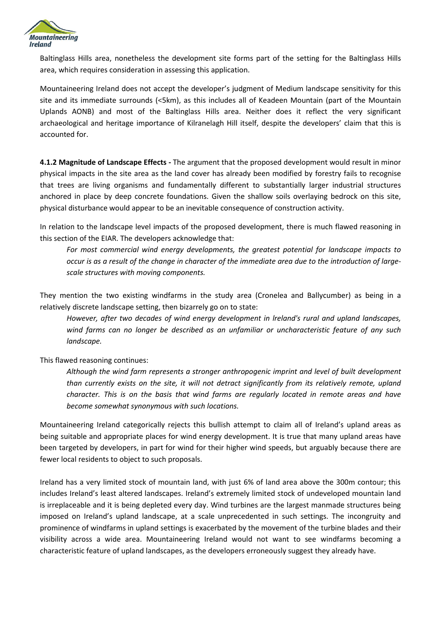

Baltinglass Hills area, nonetheless the development site forms part of the setting for the Baltinglass Hills area, which requires consideration in assessing this application.

Mountaineering Ireland does not accept the developer's judgment of Medium landscape sensitivity for this site and its immediate surrounds (<5km), as this includes all of Keadeen Mountain (part of the Mountain Uplands AONB) and most of the Baltinglass Hills area. Neither does it reflect the very significant archaeological and heritage importance of Kilranelagh Hill itself, despite the developers' claim that this is accounted for.

**4.1.2 Magnitude of Landscape Effects -** The argument that the proposed development would result in minor physical impacts in the site area as the land cover has already been modified by forestry fails to recognise that trees are living organisms and fundamentally different to substantially larger industrial structures anchored in place by deep concrete foundations. Given the shallow soils overlaying bedrock on this site, physical disturbance would appear to be an inevitable consequence of construction activity.

In relation to the landscape level impacts of the proposed development, there is much flawed reasoning in this section of the EIAR. The developers acknowledge that:

*For most commercial wind energy developments, the greatest potential for landscape impacts to occur is as a result of the change in character of the immediate area due to the introduction of largescale structures with moving components.*

They mention the two existing windfarms in the study area (Cronelea and Ballycumber) as being in a relatively discrete landscape setting, then bizarrely go on to state:

*However, after two decades of wind energy development in lreland's rural and upland landscapes, wind farms can no longer be described as an unfamiliar or uncharacteristic feature of any such landscape.*

This flawed reasoning continues:

Although the wind farm represents a stronger anthropogenic imprint and level of built development *than currently exists on the site, it will not detract significantly from its relatively remote, upland character. This is on the basis that wind farms are regularly located in remote areas and have become somewhat synonymous with such locations.*

Mountaineering Ireland categorically rejects this bullish attempt to claim all of Ireland's upland areas as being suitable and appropriate places for wind energy development. It is true that many upland areas have been targeted by developers, in part for wind for their higher wind speeds, but arguably because there are fewer local residents to object to such proposals.

Ireland has a very limited stock of mountain land, with just 6% of land area above the 300m contour; this includes Ireland's least altered landscapes. Ireland's extremely limited stock of undeveloped mountain land is irreplaceable and it is being depleted every day. Wind turbines are the largest manmade structures being imposed on Ireland's upland landscape, at a scale unprecedented in such settings. The incongruity and prominence of windfarms in upland settings is exacerbated by the movement of the turbine blades and their visibility across a wide area. Mountaineering Ireland would not want to see windfarms becoming a characteristic feature of upland landscapes, as the developers erroneously suggest they already have.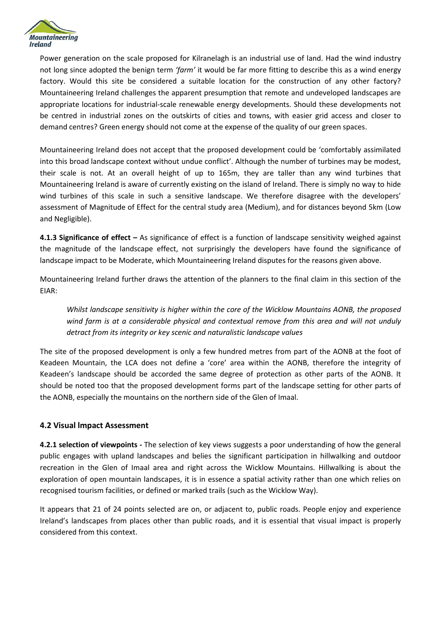

Power generation on the scale proposed for Kilranelagh is an industrial use of land. Had the wind industry not long since adopted the benign term *'farm'* it would be far more fitting to describe this as a wind energy factory. Would this site be considered a suitable location for the construction of any other factory? Mountaineering Ireland challenges the apparent presumption that remote and undeveloped landscapes are appropriate locations for industrial-scale renewable energy developments. Should these developments not be centred in industrial zones on the outskirts of cities and towns, with easier grid access and closer to demand centres? Green energy should not come at the expense of the quality of our green spaces.

Mountaineering Ireland does not accept that the proposed development could be 'comfortably assimilated into this broad landscape context without undue conflict'. Although the number of turbines may be modest, their scale is not. At an overall height of up to 165m, they are taller than any wind turbines that Mountaineering Ireland is aware of currently existing on the island of Ireland. There is simply no way to hide wind turbines of this scale in such a sensitive landscape. We therefore disagree with the developers' assessment of Magnitude of Effect for the central study area (Medium), and for distances beyond 5km (Low and Negligible).

**4.1.3 Significance of effect –** As significance of effect is a function of landscape sensitivity weighed against the magnitude of the landscape effect, not surprisingly the developers have found the significance of landscape impact to be Moderate, which Mountaineering Ireland disputes for the reasons given above.

Mountaineering Ireland further draws the attention of the planners to the final claim in this section of the EIAR:

*Whilst landscape sensitivity is higher within the core of the Wicklow Mountains AONB, the proposed wind farm is at a considerable physical and contextual remove from this area and will not unduly detract from its integrity or key scenic and naturalistic landscape values*

The site of the proposed development is only a few hundred metres from part of the AONB at the foot of Keadeen Mountain, the LCA does not define a 'core' area within the AONB, therefore the integrity of Keadeen's landscape should be accorded the same degree of protection as other parts of the AONB. It should be noted too that the proposed development forms part of the landscape setting for other parts of the AONB, especially the mountains on the northern side of the Glen of Imaal.

#### **4.2 Visual lmpact Assessment**

**4.2.1 selection of viewpoints -** The selection of key views suggests a poor understanding of how the general public engages with upland landscapes and belies the significant participation in hillwalking and outdoor recreation in the Glen of Imaal area and right across the Wicklow Mountains. Hillwalking is about the exploration of open mountain landscapes, it is in essence a spatial activity rather than one which relies on recognised tourism facilities, or defined or marked trails (such as the Wicklow Way).

It appears that 21 of 24 points selected are on, or adjacent to, public roads. People enjoy and experience Ireland's landscapes from places other than public roads, and it is essential that visual impact is properly considered from this context.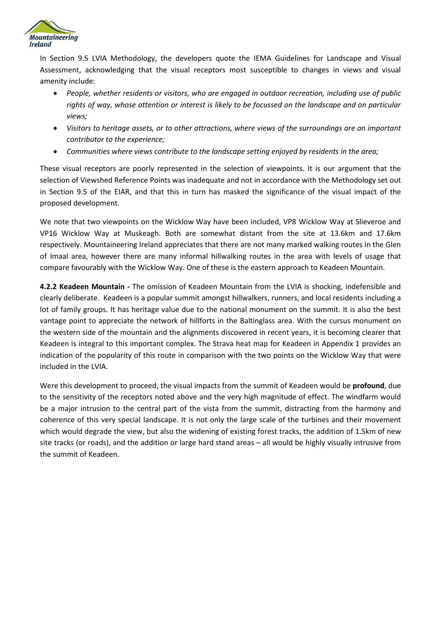

In Section 9.5 LVIA Methodology, the developers quote the IEMA Guidelines for Landscape and Visual Assessment, acknowledging that the visual receptors most susceptible to changes in views and visual amenity include:

- *People, whether residents or visitors, who are engaged in outdoor recreation, including use of public rights of way, whose attention or interest is likely to be focussed on the landscape and on particular views;*
- *Visitors to heritage assets, or to other attractions, where views of the surroundings are an important contributor to the experience;*
- *Communities where views contribute to the landscape setting enjoyed by residents in the area;*

These visual receptors are poorly represented in the selection of viewpoints. It is our argument that the selection of Viewshed Reference Points was inadequate and not in accordance with the Methodology set out in Section 9.5 of the EIAR, and that this in turn has masked the significance of the visual impact of the proposed development.

We note that two viewpoints on the Wicklow Way have been included, VP8 Wicklow Way at Slieveroe and VP16 Wicklow Way at Muskeagh. Both are somewhat distant from the site at 13.6km and 17.6km respectively. Mountaineering Ireland appreciates that there are not many marked walking routes in the Glen of Imaal area, however there are many informal hillwalking routes in the area with levels of usage that compare favourably with the Wicklow Way. One of these is the eastern approach to Keadeen Mountain.

**4.2.2 Keadeen Mountain -** The omission of Keadeen Mountain from the LVIA is shocking, indefensible and clearly deliberate. Keadeen is a popular summit amongst hillwalkers, runners, and local residents including a lot of family groups. It has heritage value due to the national monument on the summit. It is also the best vantage point to appreciate the network of hillforts in the Baltinglass area. With the cursus monument on the western side of the mountain and the alignments discovered in recent years, it is becoming clearer that Keadeen is integral to this important complex. The Strava heat map for Keadeen in Appendix 1 provides an indication of the popularity of this route in comparison with the two points on the Wicklow Way that were included in the LVIA.

Were this development to proceed, the visual impacts from the summit of Keadeen would be **profound**, due to the sensitivity of the receptors noted above and the very high magnitude of effect. The windfarm would be a major intrusion to the central part of the vista from the summit, distracting from the harmony and coherence of this very special landscape. It is not only the large scale of the turbines and their movement which would degrade the view, but also the widening of existing forest tracks, the addition of 1.5km of new site tracks (or roads), and the addition or large hard stand areas – all would be highly visually intrusive from the summit of Keadeen.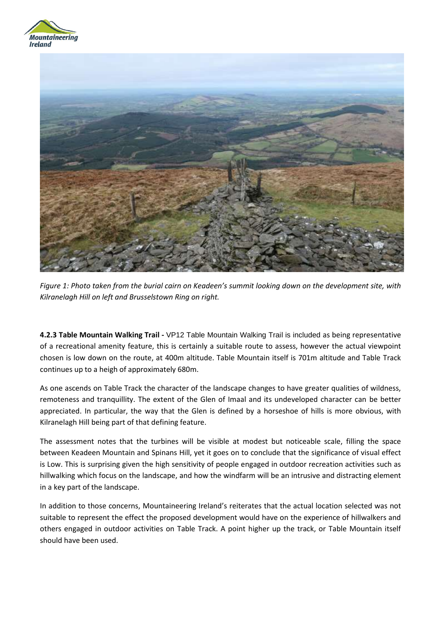



*Figure 1: Photo taken from the burial cairn on Keadeen's summit looking down on the development site, with Kilranelagh Hill on left and Brusselstown Ring on right.* 

**4.2.3 Table Mountain Walking Trail -** VP12 Table Mountain Walking Trail is included as being representative of a recreational amenity feature, this is certainly a suitable route to assess, however the actual viewpoint chosen is low down on the route, at 400m altitude. Table Mountain itself is 701m altitude and Table Track continues up to a heigh of approximately 680m.

As one ascends on Table Track the character of the landscape changes to have greater qualities of wildness, remoteness and tranquillity. The extent of the Glen of Imaal and its undeveloped character can be better appreciated. In particular, the way that the Glen is defined by a horseshoe of hills is more obvious, with Kilranelagh Hill being part of that defining feature.

The assessment notes that the turbines will be visible at modest but noticeable scale, filling the space between Keadeen Mountain and Spinans Hill, yet it goes on to conclude that the significance of visual effect is Low. This is surprising given the high sensitivity of people engaged in outdoor recreation activities such as hillwalking which focus on the landscape, and how the windfarm will be an intrusive and distracting element in a key part of the landscape.

In addition to those concerns, Mountaineering Ireland's reiterates that the actual location selected was not suitable to represent the effect the proposed development would have on the experience of hillwalkers and others engaged in outdoor activities on Table Track. A point higher up the track, or Table Mountain itself should have been used.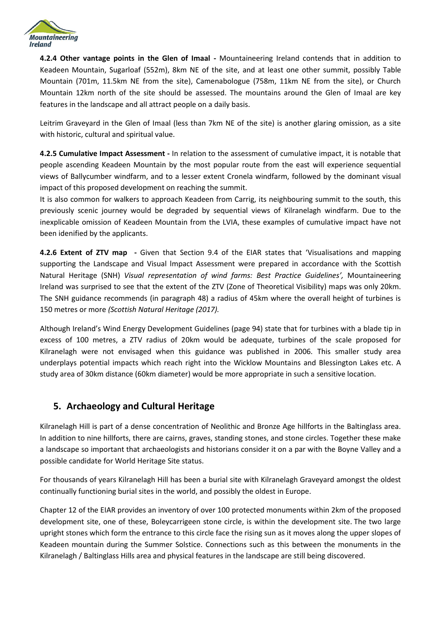

**4.2.4 Other vantage points in the Glen of Imaal -** Mountaineering Ireland contends that in addition to Keadeen Mountain, Sugarloaf (552m), 8km NE of the site, and at least one other summit, possibly Table Mountain (701m, 11.5km NE from the site), Camenabologue (758m, 11km NE from the site), or Church Mountain 12km north of the site should be assessed. The mountains around the Glen of Imaal are key features in the landscape and all attract people on a daily basis.

Leitrim Graveyard in the Glen of Imaal (less than 7km NE of the site) is another glaring omission, as a site with historic, cultural and spiritual value.

**4.2.5 Cumulative Impact Assessment -** In relation to the assessment of cumulative impact, it is notable that people ascending Keadeen Mountain by the most popular route from the east will experience sequential views of Ballycumber windfarm, and to a lesser extent Cronela windfarm, followed by the dominant visual impact of this proposed development on reaching the summit.

It is also common for walkers to approach Keadeen from Carrig, its neighbouring summit to the south, this previously scenic journey would be degraded by sequential views of Kilranelagh windfarm. Due to the inexplicable omission of Keadeen Mountain from the LVIA, these examples of cumulative impact have not been idenified by the applicants.

**4.2.6 Extent of ZTV map -** Given that Section 9.4 of the EIAR states that 'Visualisations and mapping supporting the Landscape and Visual lmpact Assessment were prepared in accordance with the Scottish Natural Heritage (SNH) *Visual representation of wind farms: Best Practice Guidelines',* Mountaineering Ireland was surprised to see that the extent of the ZTV (Zone of Theoretical Visibility) maps was only 20km. The SNH guidance recommends (in paragraph 48) a radius of 45km where the overall height of turbines is 150 metres or more *(Scottish Natural Heritage (2017).* 

Although Ireland's Wind Energy Development Guidelines (page 94) state that for turbines with a blade tip in excess of 100 metres, a ZTV radius of 20km would be adequate, turbines of the scale proposed for Kilranelagh were not envisaged when this guidance was published in 2006. This smaller study area underplays potential impacts which reach right into the Wicklow Mountains and Blessington Lakes etc. A study area of 30km distance (60km diameter) would be more appropriate in such a sensitive location.

## **5. Archaeology and Cultural Heritage**

Kilranelagh Hill is part of a dense concentration of Neolithic and Bronze Age hillforts in the Baltinglass area. In addition to nine hillforts, there are cairns, graves, standing stones, and stone circles. Together these make a landscape so important that archaeologists and historians consider it on a par with the Boyne Valley and a possible candidate for World Heritage Site status.

For thousands of years Kilranelagh Hill has been a burial site with Kilranelagh Graveyard amongst the oldest continually functioning burial sites in the world, and possibly the oldest in Europe.

Chapter 12 of the EIAR provides an inventory of over 100 protected monuments within 2km of the proposed development site, one of these, Boleycarrigeen stone circle, is within the development site. The two large upright stones which form the entrance to this circle face the rising sun as it moves along the upper slopes of Keadeen mountain during the Summer Solstice. Connections such as this between the monuments in the Kilranelagh / Baltinglass Hills area and physical features in the landscape are still being discovered.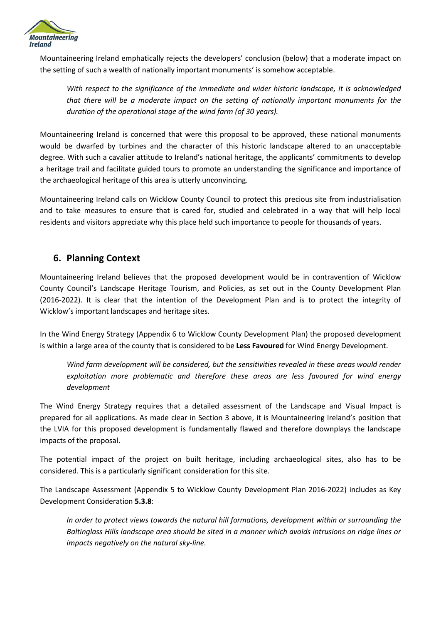

Mountaineering Ireland emphatically rejects the developers' conclusion (below) that a moderate impact on the setting of such a wealth of nationally important monuments' is somehow acceptable.

*With respect to the significance of the immediate and wider historic landscape, it is acknowledged that there will be a moderate impact on the setting of nationally important monuments for the duration of the operational stage of the wind farm (of 30 years).*

Mountaineering Ireland is concerned that were this proposal to be approved, these national monuments would be dwarfed by turbines and the character of this historic landscape altered to an unacceptable degree. With such a cavalier attitude to Ireland's national heritage, the applicants' commitments to develop a heritage trail and facilitate guided tours to promote an understanding the significance and importance of the archaeological heritage of this area is utterly unconvincing.

Mountaineering Ireland calls on Wicklow County Council to protect this precious site from industrialisation and to take measures to ensure that is cared for, studied and celebrated in a way that will help local residents and visitors appreciate why this place held such importance to people for thousands of years.

## **6. Planning Context**

Mountaineering Ireland believes that the proposed development would be in contravention of Wicklow County Council's Landscape Heritage Tourism, and Policies, as set out in the County Development Plan (2016-2022). It is clear that the intention of the Development Plan and is to protect the integrity of Wicklow's important landscapes and heritage sites.

In the Wind Energy Strategy (Appendix 6 to Wicklow County Development Plan) the proposed development is within a large area of the county that is considered to be **Less Favoured** for Wind Energy Development.

*Wind farm development will be considered, but the sensitivities revealed in these areas would render exploitation more problematic and therefore these areas are less favoured for wind energy development* 

The Wind Energy Strategy requires that a detailed assessment of the Landscape and Visual Impact is prepared for all applications. As made clear in Section 3 above, it is Mountaineering Ireland's position that the LVIA for this proposed development is fundamentally flawed and therefore downplays the landscape impacts of the proposal.

The potential impact of the project on built heritage, including archaeological sites, also has to be considered. This is a particularly significant consideration for this site.

The Landscape Assessment (Appendix 5 to Wicklow County Development Plan 2016-2022) includes as Key Development Consideration **5.3.8**:

*In order to protect views towards the natural hill formations, development within or surrounding the Baltinglass Hills landscape area should be sited in a manner which avoids intrusions on ridge lines or impacts negatively on the natural sky-line.*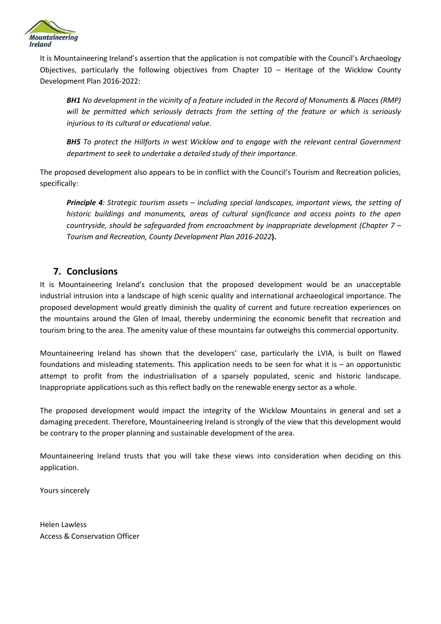

It is Mountaineering Ireland's assertion that the application is not compatible with the Council's Archaeology Objectives, particularly the following objectives from Chapter 10 – Heritage of the Wicklow County Development Plan 2016-2022:

*BH1 No development in the vicinity of a feature included in the Record of Monuments & Places (RMP) will be permitted which seriously detracts from the setting of the feature or which is seriously injurious to its cultural or educational value.*

*BH5 To protect the Hillforts in west Wicklow and to engage with the relevant central Government department to seek to undertake a detailed study of their importance.*

The proposed development also appears to be in conflict with the Council's Tourism and Recreation policies, specifically:

*Principle 4: Strategic tourism assets – including special landscapes, important views, the setting of historic buildings and monuments, areas of cultural significance and access points to the open countryside, should be safeguarded from encroachment by inappropriate development (Chapter 7 – Tourism and Recreation, County Development Plan 2016-2022***).**

## **7. Conclusions**

It is Mountaineering Ireland's conclusion that the proposed development would be an unacceptable industrial intrusion into a landscape of high scenic quality and international archaeological importance. The proposed development would greatly diminish the quality of current and future recreation experiences on the mountains around the Glen of Imaal, thereby undermining the economic benefit that recreation and tourism bring to the area. The amenity value of these mountains far outweighs this commercial opportunity.

Mountaineering Ireland has shown that the developers' case, particularly the LVIA, is built on flawed foundations and misleading statements. This application needs to be seen for what it is – an opportunistic attempt to profit from the industrialisation of a sparsely populated, scenic and historic landscape. Inappropriate applications such as this reflect badly on the renewable energy sector as a whole.

The proposed development would impact the integrity of the Wicklow Mountains in general and set a damaging precedent. Therefore, Mountaineering Ireland is strongly of the view that this development would be contrary to the proper planning and sustainable development of the area.

Mountaineering Ireland trusts that you will take these views into consideration when deciding on this application.

Yours sincerely

Helen Lawless Access & Conservation Officer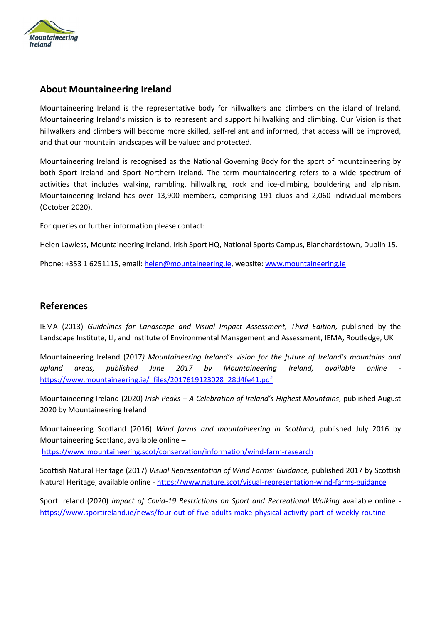

## **About Mountaineering Ireland**

Mountaineering Ireland is the representative body for hillwalkers and climbers on the island of Ireland. Mountaineering Ireland's mission is to represent and support hillwalking and climbing. Our Vision is that hillwalkers and climbers will become more skilled, self-reliant and informed, that access will be improved, and that our mountain landscapes will be valued and protected.

Mountaineering Ireland is recognised as the National Governing Body for the sport of mountaineering by both Sport Ireland and Sport Northern Ireland. The term mountaineering refers to a wide spectrum of activities that includes walking, rambling, hillwalking, rock and ice-climbing, bouldering and alpinism. Mountaineering Ireland has over 13,900 members, comprising 191 clubs and 2,060 individual members (October 2020).

For queries or further information please contact:

Helen Lawless, Mountaineering Ireland, Irish Sport HQ, National Sports Campus, Blanchardstown, Dublin 15.

Phone: +353 1 6251115, email: [helen@mountaineering.ie,](mailto:helen@mountaineering.ie) website: [www.mountaineering.ie](http://www.mountaineering.ie/)

#### **References**

IEMA (2013) *Guidelines for Landscape and Visual Impact Assessment, Third Edition*, published by the Landscape Institute, LI, and Institute of Environmental Management and Assessment, IEMA, Routledge, UK

Mountaineering Ireland (2017*) Mountaineering Ireland's vision for the future of Ireland's mountains and upland areas, published June 2017 by Mountaineering Ireland, available online*  [https://www.mountaineering.ie/\\_files/2017619123028\\_28d4fe41.pdf](https://www.mountaineering.ie/_files/2017619123028_28d4fe41.pdf)

Mountaineering Ireland (2020) *Irish Peaks – A Celebration of Ireland's Highest Mountains*, published August 2020 by Mountaineering Ireland

Mountaineering Scotland (2016) *Wind farms and mountaineering in Scotland*, published July 2016 by Mountaineering Scotland, available online – <https://www.mountaineering.scot/conservation/information/wind-farm-research>

Scottish Natural Heritage (2017) *Visual Representation of Wind Farms: Guidance,* published 2017 by Scottish Natural Heritage, available online *-* <https://www.nature.scot/visual-representation-wind-farms-guidance>

Sport Ireland (2020) *Impact of Covid-19 Restrictions on Sport and Recreational Walking* available online <https://www.sportireland.ie/news/four-out-of-five-adults-make-physical-activity-part-of-weekly-routine>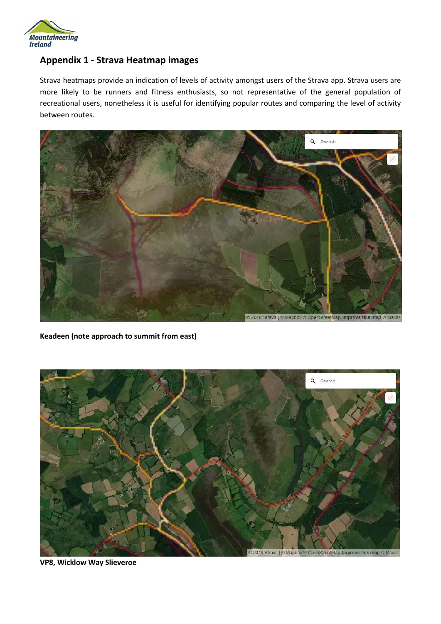

## **Appendix 1 - Strava Heatmap images**

Strava heatmaps provide an indication of levels of activity amongst users of the Strava app. Strava users are more likely to be runners and fitness enthusiasts, so not representative of the general population of recreational users, nonetheless it is useful for identifying popular routes and comparing the level of activity between routes.



**Keadeen (note approach to summit from east)**



**VP8, Wicklow Way Slieveroe**